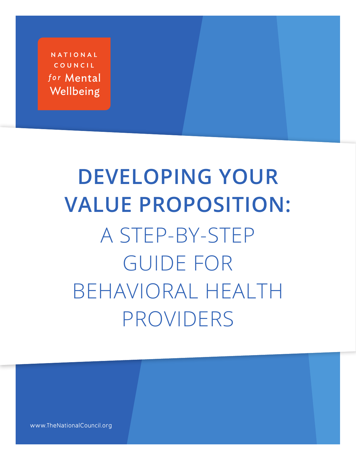NATIONAL COUNCIL for Mental Wellbeing

# **DEVELOPING YOUR VALUE PROPOSITION:** A STEP-BY-STEP GUIDE FOR BEHAVIORAL HEALTH PROVIDERS

www.TheNationalCouncil.org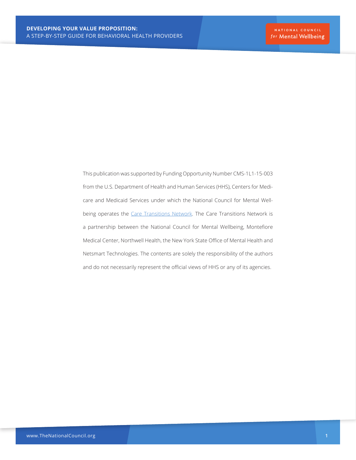This publication was supported by Funding Opportunity Number CMS-1L1-15-003 from the U.S. Department of Health and Human Services (HHS), Centers for Medicare and Medicaid Services under which the National Council for Mental Well-being operates the [Care Transitions Network](https://www.thenationalcouncil.org/care-transitions-network-people-serious-mental-illness/). The Care Transitions Network is a partnership between the National Council for Mental Wellbeing, Montefiore Medical Center, Northwell Health, the New York State Office of Mental Health and Netsmart Technologies. The contents are solely the responsibility of the authors and do not necessarily represent the official views of HHS or any of its agencies.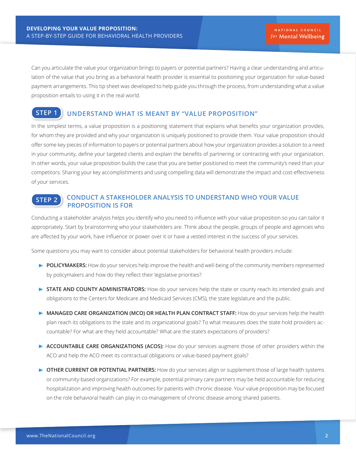Can you articulate the value your organization brings to payers or potential partners? Having a clear understanding and articulation of the value that you bring as a behavioral health provider is essential to positioning your organization for value-based payment arrangements. This tip sheet was developed to help guide you through the process, from understanding what a value proposition entails to using it in the real world.

#### **STEP 1 UNDERSTAND WHAT IS MEANT BY "VALUE PROPOSITION"**

In the simplest terms, a value proposition is a positioning statement that explains what benefits your organization provides, for whom they are provided and why your organization is uniquely positioned to provide them. Your value proposition should offer some key pieces of information to payers or potential partners about how your organization provides a solution to a need in your community, define your targeted clients and explain the benefits of partnering or contracting with your organization. In other words, your value proposition builds the case that you are better positioned to meet the community's need than your competitors. Sharing your key accomplishments and using compelling data will demonstrate the impact and cost-effectiveness of your services.

#### **STEP 2 CONDUCT A STAKEHOLDER ANALYSIS TO UNDERSTAND WHO YOUR VALUE PROPOSITION IS FOR**

Conducting a stakeholder analysis helps you identify who you need to influence with your value proposition so you can tailor it appropriately. Start by brainstorming who your stakeholders are. Think about the people, groups of people and agencies who are affected by your work, have influence or power over it or have a vested interest in the success of your services.

Some questions you may want to consider about potential stakeholders for behavioral health providers include:

- **POLICYMAKERS:** How do your services help improve the health and well-being of the community members represented by policymakers and how do they reflect their legislative priorities?
- **STATE AND COUNTY ADMINISTRATORS:** How do your services help the state or county reach its intended goals and obligations to the Centers for Medicare and Medicaid Services (CMS), the state legislature and the public.
- **MANAGED CARE ORGANIZATION (MCO) OR HEALTH PLAN CONTRACT STAFF: How do your services help the health** plan reach its obligations to the state and its organizational goals? To what measures does the state hold providers accountable? For what are they held accountable? What are the state's expectations of providers?
- **ACCOUNTABLE CARE ORGANIZATIONS (ACOS):** How do your services augment those of other providers within the ACO and help the ACO meet its contractual obligations or value-based payment goals?
- **OTHER CURRENT OR POTENTIAL PARTNERS:** How do your services align or supplement those of large health systems or community-based organizations? For example, potential primary care partners may be held accountable for reducing hospitalization and improving health outcomes for patients with chronic disease. Your value proposition may be focused on the role behavioral health can play in co-management of chronic disease among shared patients.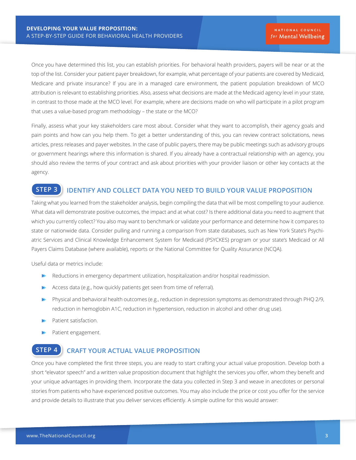Once you have determined this list, you can establish priorities. For behavioral health providers, payers will be near or at the top of the list. Consider your patient payer breakdown, for example, what percentage of your patients are covered by Medicaid, Medicare and private insurance? If you are in a managed care environment, the patient population breakdown of MCO attribution is relevant to establishing priorities. Also, assess what decisions are made at the Medicaid agency level in your state, in contrast to those made at the MCO level. For example, where are decisions made on who will participate in a pilot program that uses a value-based program methodology – the state or the MCO?

Finally, assess what your key stakeholders care most about. Consider what they want to accomplish, their agency goals and pain points and how can you help them. To get a better understanding of this, you can review contract solicitations, news articles, press releases and payer websites. In the case of public payers, there may be public meetings such as advisory groups or government hearings where this information is shared. If you already have a contractual relationship with an agency, you should also review the terms of your contract and ask about priorities with your provider liaison or other key contacts at the agency.

#### **STEP 3 IDENTIFY AND COLLECT DATA YOU NEED TO BUILD YOUR VALUE PROPOSITION**

Taking what you learned from the stakeholder analysis, begin compiling the data that will be most compelling to your audience. What data will demonstrate positive outcomes, the impact and at what cost? Is there additional data you need to augment that which you currently collect? You also may want to benchmark or validate your performance and determine how it compares to state or nationwide data. Consider pulling and running a comparison from state databases, such as New York State's Psychiatric Services and Clinical Knowledge Enhancement System for Medicaid (PSYCKES) program or your state's Medicaid or All Payers Claims Database (where available), reports or the National Committee for Quality Assurance (NCQA).

Useful data or metrics include:

- Reductions in emergency department utilization, hospitalization and/or hospital readmission.
- Access data (e.g., how quickly patients get seen from time of referral).
- Physical and behavioral health outcomes (e.g., reduction in depression symptoms as demonstrated through PHQ 2/9, b. reduction in hemoglobin A1C, reduction in hypertension, reduction in alcohol and other drug use).
- Patient satisfaction.
- Patient engagement.

### **STEP 4 CRAFT YOUR ACTUAL VALUE PROPOSITION**

Once you have completed the first three steps, you are ready to start crafting your actual value proposition. Develop both a short "elevator speech" and a written value proposition document that highlight the services you offer, whom they benefit and your unique advantages in providing them. Incorporate the data you collected in Step 3 and weave in anecdotes or personal stories from patients who have experienced positive outcomes. You may also include the price or cost you offer for the service and provide details to illustrate that you deliver services efficiently. A simple outline for this would answer: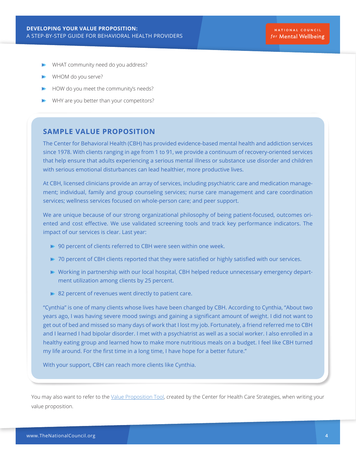- WHAT community need do you address?
- WHOM do you serve?
- HOW do you meet the community's needs?
- WHY are you better than your competitors?

#### **SAMPLE VALUE PROPOSITION**

The Center for Behavioral Health (CBH) has provided evidence-based mental health and addiction services since 1978. With clients ranging in age from 1 to 91, we provide a continuum of recovery-oriented services that help ensure that adults experiencing a serious mental illness or substance use disorder and children with serious emotional disturbances can lead healthier, more productive lives.

At CBH, licensed clinicians provide an array of services, including psychiatric care and medication management; individual, family and group counseling services; nurse care management and care coordination services; wellness services focused on whole-person care; and peer support.

We are unique because of our strong organizational philosophy of being patient-focused, outcomes oriented and cost effective. We use validated screening tools and track key performance indicators. The impact of our services is clear. Last year:

- ▶ 90 percent of clients referred to CBH were seen within one week.
- ▶ 70 percent of CBH clients reported that they were satisfied or highly satisfied with our services.
- Working in partnership with our local hospital, CBH helped reduce unnecessary emergency department utilization among clients by 25 percent.
- **82 percent of revenues went directly to patient care.**

"Cynthia" is one of many clients whose lives have been changed by CBH. According to Cynthia, "About two years ago, I was having severe mood swings and gaining a significant amount of weight. I did not want to get out of bed and missed so many days of work that I lost my job. Fortunately, a friend referred me to CBH and I learned I had bipolar disorder. I met with a psychiatrist as well as a social worker. I also enrolled in a healthy eating group and learned how to make more nutritious meals on a budget. I feel like CBH turned my life around. For the first time in a long time, I have hope for a better future."

With your support, CBH can reach more clients like Cynthia.

You may also want to refer to the [Value Proposition Tool](https://www.chcs.org/media/Value-Proposition-Tool-Fillable-Form_080918.pdf), created by the Center for Health Care Strategies, when writing your value proposition.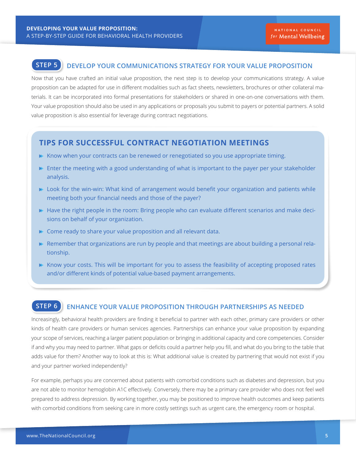## **STEP 5 DEVELOP YOUR COMMUNICATIONS STRATEGY FOR YOUR VALUE PROPOSITION**

Now that you have crafted an initial value proposition, the next step is to develop your communications strategy. A value proposition can be adapted for use in different modalities such as fact sheets, newsletters, brochures or other collateral materials. It can be incorporated into formal presentations for stakeholders or shared in one-on-one conversations with them. Your value proposition should also be used in any applications or proposals you submit to payers or potential partners. A solid value proposition is also essential for leverage during contract negotiations.

#### **TIPS FOR SUCCESSFUL CONTRACT NEGOTIATION MEETINGS**

- $\triangleright$  Know when your contracts can be renewed or renegotiated so you use appropriate timing.
- $\blacktriangleright$  Enter the meeting with a good understanding of what is important to the payer per your stakeholder analysis.
- Look for the win-win: What kind of arrangement would benefit your organization and patients while meeting both your financial needs and those of the payer?
- Have the right people in the room: Bring people who can evaluate different scenarios and make decisions on behalf of your organization.
- Come ready to share your value proposition and all relevant data.
- $\blacktriangleright$  Remember that organizations are run by people and that meetings are about building a personal relationship.
- Know your costs. This will be important for you to assess the feasibility of accepting proposed rates and/or different kinds of potential value-based payment arrangements.

# **STEP 6 ENHANCE YOUR VALUE PROPOSITION THROUGH PARTNERSHIPS AS NEEDED**

Increasingly, behavioral health providers are finding it beneficial to partner with each other, primary care providers or other kinds of health care providers or human services agencies. Partnerships can enhance your value proposition by expanding your scope of services, reaching a larger patient population or bringing in additional capacity and core competencies. Consider if and why you may need to partner. What gaps or deficits could a partner help you fill, and what do you bring to the table that adds value for them? Another way to look at this is: What additional value is created by partnering that would not exist if you and your partner worked independently?

For example, perhaps you are concerned about patients with comorbid conditions such as diabetes and depression, but you are not able to monitor hemoglobin A1C effectively. Conversely, there may be a primary care provider who does not feel well prepared to address depression. By working together, you may be positioned to improve health outcomes and keep patients with comorbid conditions from seeking care in more costly settings such as urgent care, the emergency room or hospital.